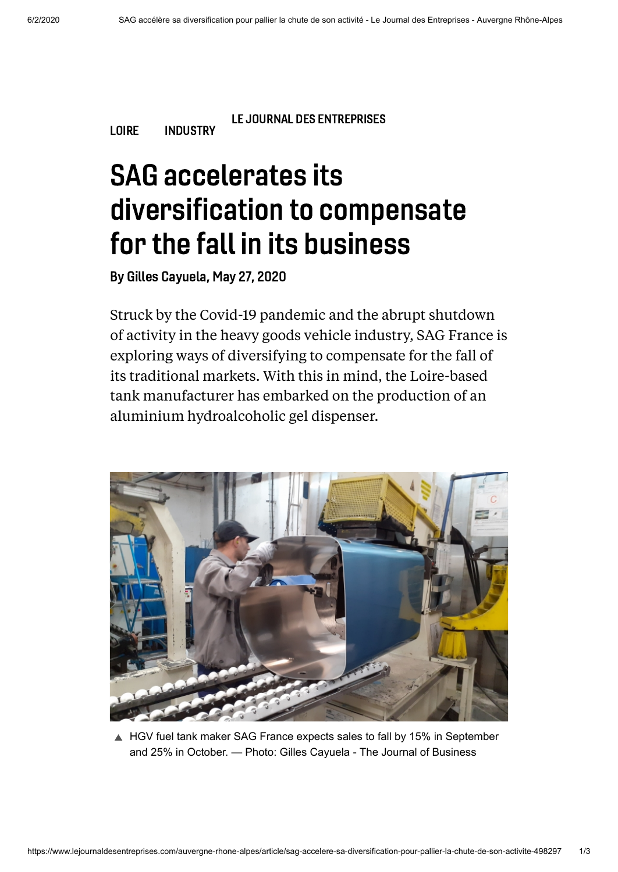[LOIRE](https://www.lejournaldesentreprises.com/recherche/loire) [INDUSTRY](https://www.lejournaldesentreprises.com/recherche/industrie)

LE JOURNAL DES ENTREPRISES

## SAG accelerates its diversification to compensate for the fall in its business

By Gilles Cayuela, May 27, 2020

Struck by the Covid-19 pandemic and the abrupt shutdown of activity in the heavy goods vehicle industry, SAG France is exploring ways of diversifying to compensate for the fall of its traditional markets. With this in mind, the Loire-based tank manufacturer has embarked on the production of an aluminium hydroalcoholic gel dispenser.



■ HGV fuel tank maker SAG France expects sales to fall by 15% in September and 25% in October. — Photo: Gilles Cayuela - The Journal of Business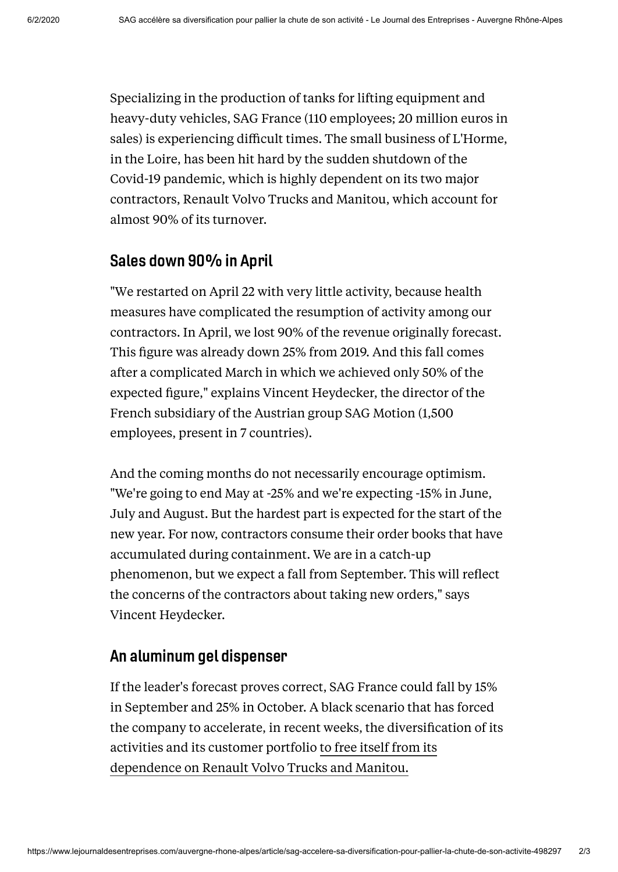Specializing in the production of tanks for lifting equipment and heavy-duty vehicles, SAG France (110 employees; 20 million euros in sales) is experiencing difficult times. The small business of L'Horme, in the Loire, has been hit hard by the sudden shutdown of the Covid-19 pandemic, which is highly dependent on its two major contractors, Renault Volvo Trucks and Manitou, which account for almost 90% of its turnover.

## Sales down 90% in April

"We restarted on April 22 with very little activity, because health measures have complicated the resumption of activity among our contractors. In April, we lost 90% of the revenue originally forecast. This figure was already down 25% from 2019. And this fall comes after a complicated March in which we achieved only 50% of the expected figure," explains Vincent Heydecker, the director of the French subsidiary of the Austrian group SAG Motion (1,500 employees, present in 7 countries).

And the coming months do not necessarily encourage optimism. "We're going to end May at -25% and we're expecting -15% in June, July and August. But the hardest part is expected for the start of the new year. For now, contractors consume their order books that have accumulated during containment. We are in a catch-up phenomenon, but we expect a fall from September. This will reflect the concerns of the contractors about taking new orders," says Vincent Heydecker.

## An aluminum gel dispenser

If the leader's forecast proves correct, SAG France could fall by 15% in September and 25% in October. A black scenario that has forced the company to accelerate, in recent weeks, the diversification of its activities and its customer portfolio to free itself from its [dependence](https://www.lejournaldesentreprises.com/auvergne-rhone-alpes/article/comment-sag-prepare-lapres-gasoil-396489) on Renault Volvo Trucks and Manitou.